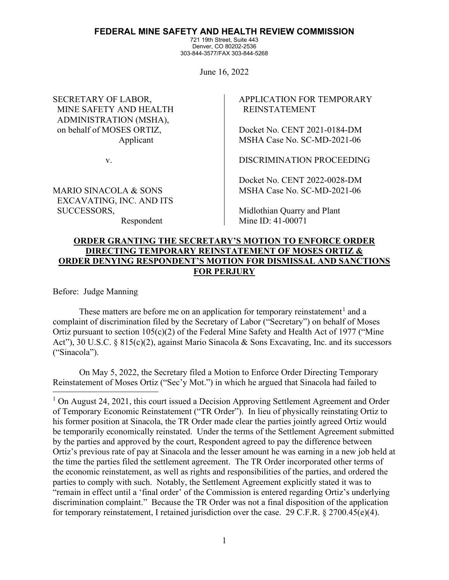## **FEDERAL MINE SAFETY AND HEALTH REVIEW COMMISSION**

721 19th Street, Suite 443 Denver, CO 80202-2536 303-844-3577/FAX 303-844-5268

June 16, 2022

SECRETARY OF LABOR, MINE SAFETY AND HEALTH ADMINISTRATION (MSHA), on behalf of MOSES ORTIZ, Applicant

v.

MARIO SINACOLA & SONS EXCAVATING, INC. AND ITS SUCCESSORS,

Respondent

APPLICATION FOR TEMPORARY REINSTATEMENT

Docket No. CENT 2021-0184-DM MSHA Case No. SC-MD-2021-06

DISCRIMINATION PROCEEDING

Docket No. CENT 2022-0028-DM MSHA Case No. SC-MD-2021-06

Midlothian Quarry and Plant Mine ID: 41-00071

# **ORDER GRANTING THE SECRETARY'S MOTION TO ENFORCE ORDER DIRECTING TEMPORARY REINSTATEMENT OF MOSES ORTIZ & ORDER DENYING RESPONDENT'S MOTION FOR DISMISSAL AND SANCTIONS FOR PERJURY**

Before: Judge Manning

These matters are before me on an application for temporary reinstatement<sup>[1](#page-0-0)</sup> and a complaint of discrimination filed by the Secretary of Labor ("Secretary") on behalf of Moses Ortiz pursuant to section 105(c)(2) of the Federal Mine Safety and Health Act of 1977 ("Mine Act"), 30 U.S.C. § 815(c)(2), against Mario Sinacola & Sons Excavating, Inc. and its successors ("Sinacola").

On May 5, 2022, the Secretary filed a Motion to Enforce Order Directing Temporary Reinstatement of Moses Ortiz ("Sec'y Mot.") in which he argued that Sinacola had failed to

<span id="page-0-0"></span><sup>&</sup>lt;sup>1</sup> On August 24, 2021, this court issued a Decision Approving Settlement Agreement and Order of Temporary Economic Reinstatement ("TR Order"). In lieu of physically reinstating Ortiz to his former position at Sinacola, the TR Order made clear the parties jointly agreed Ortiz would be temporarily economically reinstated. Under the terms of the Settlement Agreement submitted by the parties and approved by the court, Respondent agreed to pay the difference between Ortiz's previous rate of pay at Sinacola and the lesser amount he was earning in a new job held at the time the parties filed the settlement agreement. The TR Order incorporated other terms of the economic reinstatement, as well as rights and responsibilities of the parties, and ordered the parties to comply with such. Notably, the Settlement Agreement explicitly stated it was to "remain in effect until a 'final order' of the Commission is entered regarding Ortiz's underlying discrimination complaint." Because the TR Order was not a final disposition of the application for temporary reinstatement, I retained jurisdiction over the case. 29 C.F.R. § 2700.45(e)(4).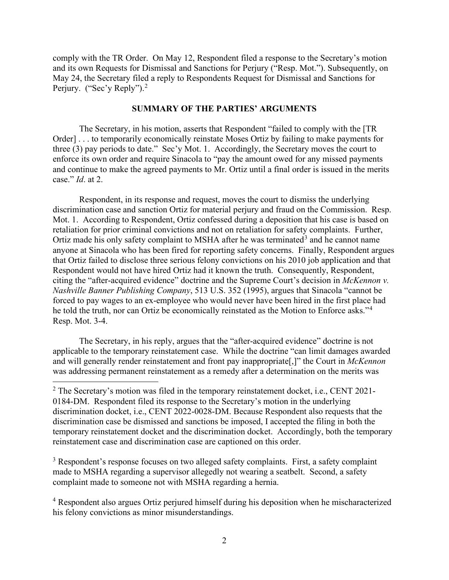comply with the TR Order. On May 12, Respondent filed a response to the Secretary's motion and its own Requests for Dismissal and Sanctions for Perjury ("Resp. Mot."). Subsequently, on May 24, the Secretary filed a reply to Respondents Request for Dismissal and Sanctions for Perjury. ("Sec'y Reply").<sup>[2](#page-1-0)</sup>

## **SUMMARY OF THE PARTIES' ARGUMENTS**

The Secretary, in his motion, asserts that Respondent "failed to comply with the [TR Order] . . . to temporarily economically reinstate Moses Ortiz by failing to make payments for three (3) pay periods to date." Sec'y Mot. 1. Accordingly, the Secretary moves the court to enforce its own order and require Sinacola to "pay the amount owed for any missed payments and continue to make the agreed payments to Mr. Ortiz until a final order is issued in the merits case." *Id*. at 2.

Respondent, in its response and request, moves the court to dismiss the underlying discrimination case and sanction Ortiz for material perjury and fraud on the Commission. Resp. Mot. 1. According to Respondent, Ortiz confessed during a deposition that his case is based on retaliation for prior criminal convictions and not on retaliation for safety complaints. Further, Ortiz made his only safety complaint to MSHA after he was terminated<sup>[3](#page-1-1)</sup> and he cannot name anyone at Sinacola who has been fired for reporting safety concerns. Finally, Respondent argues that Ortiz failed to disclose three serious felony convictions on his 2010 job application and that Respondent would not have hired Ortiz had it known the truth. Consequently, Respondent, citing the "after-acquired evidence" doctrine and the Supreme Court's decision in *McKennon v. Nashville Banner Publishing Company*, 513 U.S. 352 (1995), argues that Sinacola "cannot be forced to pay wages to an ex-employee who would never have been hired in the first place had he told the truth, nor can Ortiz be economically reinstated as the Motion to Enforce asks."<sup>[4](#page-1-2)</sup> Resp. Mot. 3-4.

The Secretary, in his reply, argues that the "after-acquired evidence" doctrine is not applicable to the temporary reinstatement case. While the doctrine "can limit damages awarded and will generally render reinstatement and front pay inappropriate[,]" the Court in *McKennon* was addressing permanent reinstatement as a remedy after a determination on the merits was

<span id="page-1-1"></span><sup>3</sup> Respondent's response focuses on two alleged safety complaints. First, a safety complaint made to MSHA regarding a supervisor allegedly not wearing a seatbelt. Second, a safety complaint made to someone not with MSHA regarding a hernia.

<span id="page-1-2"></span><sup>4</sup> Respondent also argues Ortiz perjured himself during his deposition when he mischaracterized his felony convictions as minor misunderstandings.

<span id="page-1-0"></span> $2$  The Secretary's motion was filed in the temporary reinstatement docket, i.e., CENT 2021-0184-DM. Respondent filed its response to the Secretary's motion in the underlying discrimination docket, i.e., CENT 2022-0028-DM. Because Respondent also requests that the discrimination case be dismissed and sanctions be imposed, I accepted the filing in both the temporary reinstatement docket and the discrimination docket. Accordingly, both the temporary reinstatement case and discrimination case are captioned on this order.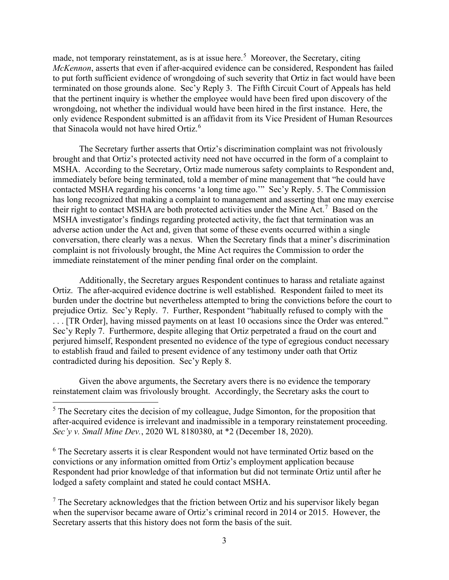made, not temporary reinstatement, as is at issue here.<sup>[5](#page-2-0)</sup> Moreover, the Secretary, citing *McKennon*, asserts that even if after-acquired evidence can be considered, Respondent has failed to put forth sufficient evidence of wrongdoing of such severity that Ortiz in fact would have been terminated on those grounds alone. Sec'y Reply 3. The Fifth Circuit Court of Appeals has held that the pertinent inquiry is whether the employee would have been fired upon discovery of the wrongdoing, not whether the individual would have been hired in the first instance. Here, the only evidence Respondent submitted is an affidavit from its Vice President of Human Resources that Sinacola would not have hired Ortiz.<sup>[6](#page-2-1)</sup>

The Secretary further asserts that Ortiz's discrimination complaint was not frivolously brought and that Ortiz's protected activity need not have occurred in the form of a complaint to MSHA. According to the Secretary, Ortiz made numerous safety complaints to Respondent and, immediately before being terminated, told a member of mine management that "he could have contacted MSHA regarding his concerns 'a long time ago.'" Sec'y Reply. 5. The Commission has long recognized that making a complaint to management and asserting that one may exercise their right to contact MSHA are both protected activities under the Mine Act.<sup>[7](#page-2-2)</sup> Based on the MSHA investigator's findings regarding protected activity, the fact that termination was an adverse action under the Act and, given that some of these events occurred within a single conversation, there clearly was a nexus. When the Secretary finds that a miner's discrimination complaint is not frivolously brought, the Mine Act requires the Commission to order the immediate reinstatement of the miner pending final order on the complaint.

Additionally, the Secretary argues Respondent continues to harass and retaliate against Ortiz. The after-acquired evidence doctrine is well established. Respondent failed to meet its burden under the doctrine but nevertheless attempted to bring the convictions before the court to prejudice Ortiz. Sec'y Reply. 7. Further, Respondent "habitually refused to comply with the . . . [TR Order], having missed payments on at least 10 occasions since the Order was entered." Sec'y Reply 7. Furthermore, despite alleging that Ortiz perpetrated a fraud on the court and perjured himself, Respondent presented no evidence of the type of egregious conduct necessary to establish fraud and failed to present evidence of any testimony under oath that Ortiz contradicted during his deposition. Sec'y Reply 8.

Given the above arguments, the Secretary avers there is no evidence the temporary reinstatement claim was frivolously brought. Accordingly, the Secretary asks the court to

<span id="page-2-1"></span><sup>6</sup> The Secretary asserts it is clear Respondent would not have terminated Ortiz based on the convictions or any information omitted from Ortiz's employment application because Respondent had prior knowledge of that information but did not terminate Ortiz until after he lodged a safety complaint and stated he could contact MSHA.

<span id="page-2-2"></span> $<sup>7</sup>$  The Secretary acknowledges that the friction between Ortiz and his supervisor likely began</sup> when the supervisor became aware of Ortiz's criminal record in 2014 or 2015. However, the Secretary asserts that this history does not form the basis of the suit.

<span id="page-2-0"></span> $<sup>5</sup>$  The Secretary cites the decision of my colleague, Judge Simonton, for the proposition that</sup> after-acquired evidence is irrelevant and inadmissible in a temporary reinstatement proceeding. *Sec'y v. Small Mine Dev.*, 2020 WL 8180380, at \*2 (December 18, 2020).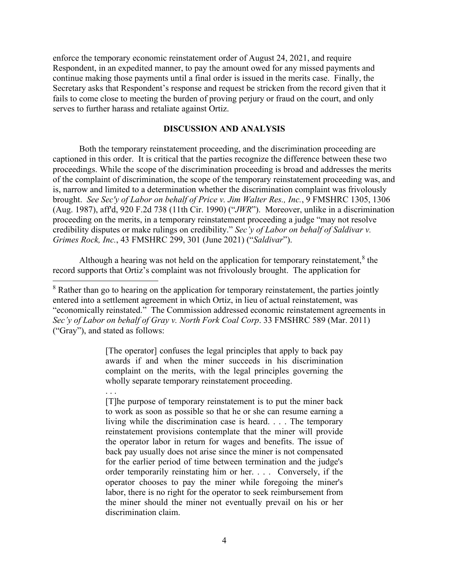enforce the temporary economic reinstatement order of August 24, 2021, and require Respondent, in an expedited manner, to pay the amount owed for any missed payments and continue making those payments until a final order is issued in the merits case. Finally, the Secretary asks that Respondent's response and request be stricken from the record given that it fails to come close to meeting the burden of proving perjury or fraud on the court, and only serves to further harass and retaliate against Ortiz.

### **DISCUSSION AND ANALYSIS**

Both the temporary reinstatement proceeding, and the discrimination proceeding are captioned in this order. It is critical that the parties recognize the difference between these two proceedings. While the scope of the discrimination proceeding is broad and addresses the merits of the complaint of discrimination, the scope of the temporary reinstatement proceeding was, and is, narrow and limited to a determination whether the discrimination complaint was frivolously brought. *See Sec'y of Labor on behalf of Price v. Jim Walter Res., Inc.*, 9 FMSHRC 1305, 1306 (Aug. 1987), aff'd, 920 F.2d 738 (11th Cir. 1990) ("*JWR*"). Moreover, unlike in a discrimination proceeding on the merits, in a temporary reinstatement proceeding a judge "may not resolve credibility disputes or make rulings on credibility." *Sec'y of Labor on behalf of Saldivar v. Grimes Rock, Inc.*, 43 FMSHRC 299, 301 (June 2021) ("*Saldivar*").

Although a hearing was not held on the application for temporary reinstatement, $\delta$  the record supports that Ortiz's complaint was not frivolously brought. The application for

[The operator] confuses the legal principles that apply to back pay awards if and when the miner succeeds in his discrimination complaint on the merits, with the legal principles governing the wholly separate temporary reinstatement proceeding.

. . .

[T]he purpose of temporary reinstatement is to put the miner back to work as soon as possible so that he or she can resume earning a living while the discrimination case is heard. . . . The temporary reinstatement provisions contemplate that the miner will provide the operator labor in return for wages and benefits. The issue of back pay usually does not arise since the miner is not compensated for the earlier period of time between termination and the judge's order temporarily reinstating him or her. . . . Conversely, if the operator chooses to pay the miner while foregoing the miner's labor, there is no right for the operator to seek reimbursement from the miner should the miner not eventually prevail on his or her discrimination claim.

<span id="page-3-0"></span> $8$  Rather than go to hearing on the application for temporary reinstatement, the parties jointly entered into a settlement agreement in which Ortiz, in lieu of actual reinstatement, was "economically reinstated." The Commission addressed economic reinstatement agreements in *Sec'y of Labor on behalf of Gray v. North Fork Coal Corp*. 33 FMSHRC 589 (Mar. 2011) ("Gray"), and stated as follows: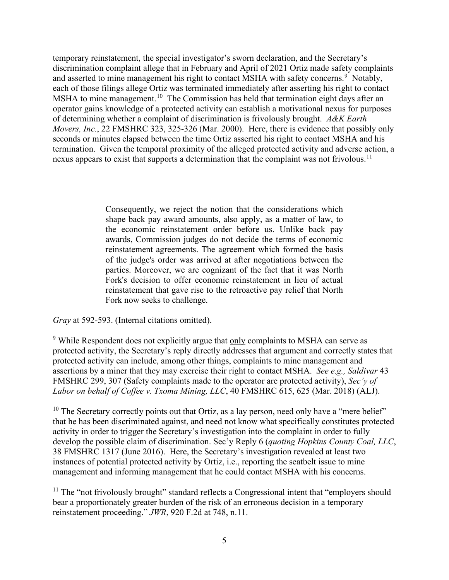temporary reinstatement, the special investigator's sworn declaration, and the Secretary's discrimination complaint allege that in February and April of 2021 Ortiz made safety complaints and asserted to mine management his right to contact MSHA with safety concerns.<sup>[9](#page-4-0)</sup> Notably, each of those filings allege Ortiz was terminated immediately after asserting his right to contact MSHA to mine management.<sup>[10](#page-4-1)</sup> The Commission has held that termination eight days after an operator gains knowledge of a protected activity can establish a motivational nexus for purposes of determining whether a complaint of discrimination is frivolously brought. *A&K Earth Movers, Inc.*, 22 FMSHRC 323, 325-326 (Mar. 2000). Here, there is evidence that possibly only seconds or minutes elapsed between the time Ortiz asserted his right to contact MSHA and his termination. Given the temporal proximity of the alleged protected activity and adverse action, a nexus appears to exist that supports a determination that the complaint was not frivolous.<sup>11</sup>

> Consequently, we reject the notion that the considerations which shape back pay award amounts, also apply, as a matter of law, to the economic reinstatement order before us. Unlike back pay awards, Commission judges do not decide the terms of economic reinstatement agreements. The agreement which formed the basis of the judge's order was arrived at after negotiations between the parties. Moreover, we are cognizant of the fact that it was North Fork's decision to offer economic reinstatement in lieu of actual reinstatement that gave rise to the retroactive pay relief that North Fork now seeks to challenge.

*Gray* at 592-593. (Internal citations omitted).

<span id="page-4-0"></span><sup>9</sup> While Respondent does not explicitly argue that only complaints to MSHA can serve as protected activity, the Secretary's reply directly addresses that argument and correctly states that protected activity can include, among other things, complaints to mine management and assertions by a miner that they may exercise their right to contact MSHA. *See e.g., Saldivar* 43 FMSHRC 299, 307 (Safety complaints made to the operator are protected activity), *Sec'y of Labor on behalf of Coffee v. Txoma Mining, LLC*, 40 FMSHRC 615, 625 (Mar. 2018) (ALJ).

<span id="page-4-1"></span> $10$  The Secretary correctly points out that Ortiz, as a lay person, need only have a "mere belief" that he has been discriminated against, and need not know what specifically constitutes protected activity in order to trigger the Secretary's investigation into the complaint in order to fully develop the possible claim of discrimination. Sec'y Reply 6 (*quoting Hopkins County Coal, LLC*, 38 FMSHRC 1317 (June 2016). Here, the Secretary's investigation revealed at least two instances of potential protected activity by Ortiz, i.e., reporting the seatbelt issue to mine management and informing management that he could contact MSHA with his concerns.

<span id="page-4-2"></span> $11$  The "not frivolously brought" standard reflects a Congressional intent that "employers should bear a proportionately greater burden of the risk of an erroneous decision in a temporary reinstatement proceeding." *JWR*, 920 F.2d at 748, n.11.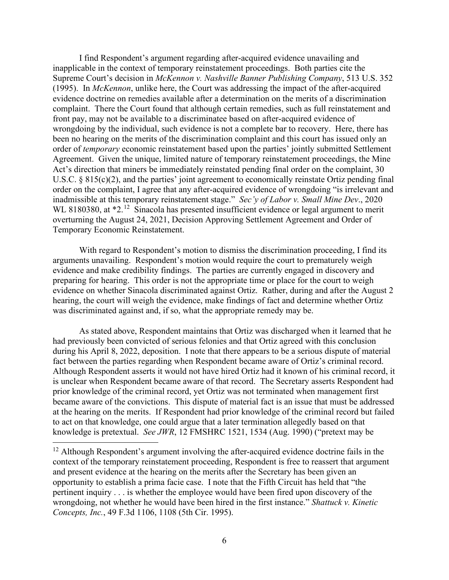I find Respondent's argument regarding after-acquired evidence unavailing and inapplicable in the context of temporary reinstatement proceedings. Both parties cite the Supreme Court's decision in *McKennon v. Nashville Banner Publishing Company*, 513 U.S. 352 (1995). In *McKennon*, unlike here, the Court was addressing the impact of the after-acquired evidence doctrine on remedies available after a determination on the merits of a discrimination complaint. There the Court found that although certain remedies, such as full reinstatement and front pay, may not be available to a discriminatee based on after-acquired evidence of wrongdoing by the individual, such evidence is not a complete bar to recovery. Here, there has been no hearing on the merits of the discrimination complaint and this court has issued only an order of *temporary* economic reinstatement based upon the parties' jointly submitted Settlement Agreement. Given the unique, limited nature of temporary reinstatement proceedings, the Mine Act's direction that miners be immediately reinstated pending final order on the complaint, 30 U.S.C. § 815(c)(2), and the parties' joint agreement to economically reinstate Ortiz pending final order on the complaint, I agree that any after-acquired evidence of wrongdoing "is irrelevant and inadmissible at this temporary reinstatement stage." *Sec'y of Labor v. Small Mine Dev*., 2020 WL 8180380, at  $*2$ .<sup>[12](#page-5-0)</sup> Sinacola has presented insufficient evidence or legal argument to merit overturning the August 24, 2021, Decision Approving Settlement Agreement and Order of Temporary Economic Reinstatement.

With regard to Respondent's motion to dismiss the discrimination proceeding, I find its arguments unavailing. Respondent's motion would require the court to prematurely weigh evidence and make credibility findings. The parties are currently engaged in discovery and preparing for hearing. This order is not the appropriate time or place for the court to weigh evidence on whether Sinacola discriminated against Ortiz. Rather, during and after the August 2 hearing, the court will weigh the evidence, make findings of fact and determine whether Ortiz was discriminated against and, if so, what the appropriate remedy may be.

As stated above, Respondent maintains that Ortiz was discharged when it learned that he had previously been convicted of serious felonies and that Ortiz agreed with this conclusion during his April 8, 2022, deposition. I note that there appears to be a serious dispute of material fact between the parties regarding when Respondent became aware of Ortiz's criminal record. Although Respondent asserts it would not have hired Ortiz had it known of his criminal record, it is unclear when Respondent became aware of that record. The Secretary asserts Respondent had prior knowledge of the criminal record, yet Ortiz was not terminated when management first became aware of the convictions. This dispute of material fact is an issue that must be addressed at the hearing on the merits. If Respondent had prior knowledge of the criminal record but failed to act on that knowledge, one could argue that a later termination allegedly based on that knowledge is pretextual. *See JWR*, 12 FMSHRC 1521, 1534 (Aug. 1990) ("pretext may be

<span id="page-5-0"></span> $12$  Although Respondent's argument involving the after-acquired evidence doctrine fails in the context of the temporary reinstatement proceeding, Respondent is free to reassert that argument and present evidence at the hearing on the merits after the Secretary has been given an opportunity to establish a prima facie case. I note that the Fifth Circuit has held that "the pertinent inquiry . . . is whether the employee would have been fired upon discovery of the wrongdoing, not whether he would have been hired in the first instance." *Shattuck v. Kinetic Concepts, Inc.*, 49 F.3d 1106, 1108 (5th Cir. 1995).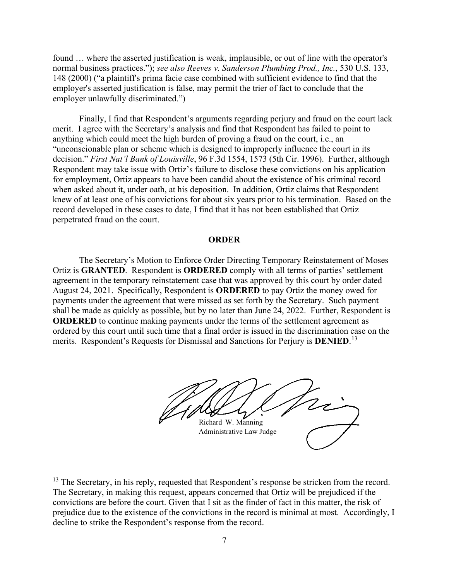found … where the asserted justification is weak, implausible, or out of line with the operator's normal business practices."); *see also Reeves v. Sanderson Plumbing Prod., Inc.*, 530 U.S. 133, 148 (2000) ("a plaintiff's prima facie case combined with sufficient evidence to find that the employer's asserted justification is false, may permit the trier of fact to conclude that the employer unlawfully discriminated.")

Finally, I find that Respondent's arguments regarding perjury and fraud on the court lack merit. I agree with the Secretary's analysis and find that Respondent has failed to point to anything which could meet the high burden of proving a fraud on the court, i.e., an "unconscionable plan or scheme which is designed to improperly influence the court in its decision." *First Nat'l Bank of Louisville*, 96 F.3d 1554, 1573 (5th Cir. 1996). Further, although Respondent may take issue with Ortiz's failure to disclose these convictions on his application for employment, Ortiz appears to have been candid about the existence of his criminal record when asked about it, under oath, at his deposition. In addition, Ortiz claims that Respondent knew of at least one of his convictions for about six years prior to his termination. Based on the record developed in these cases to date, I find that it has not been established that Ortiz perpetrated fraud on the court.

#### **ORDER**

The Secretary's Motion to Enforce Order Directing Temporary Reinstatement of Moses Ortiz is **GRANTED**. Respondent is **ORDERED** comply with all terms of parties' settlement agreement in the temporary reinstatement case that was approved by this court by order dated August 24, 2021. Specifically, Respondent is **ORDERED** to pay Ortiz the money owed for payments under the agreement that were missed as set forth by the Secretary. Such payment shall be made as quickly as possible, but by no later than June 24, 2022. Further, Respondent is **ORDERED** to continue making payments under the terms of the settlement agreement as ordered by this court until such time that a final order is issued in the discrimination case on the merits. Respondent's Requests for Dismissal and Sanctions for Perjury is **DENIED**. [13](#page-6-0)

Richard W. Manning Administrative Law Judge

<span id="page-6-0"></span><sup>&</sup>lt;sup>13</sup> The Secretary, in his reply, requested that Respondent's response be stricken from the record. The Secretary, in making this request, appears concerned that Ortiz will be prejudiced if the convictions are before the court. Given that I sit as the finder of fact in this matter, the risk of prejudice due to the existence of the convictions in the record is minimal at most. Accordingly, I decline to strike the Respondent's response from the record.